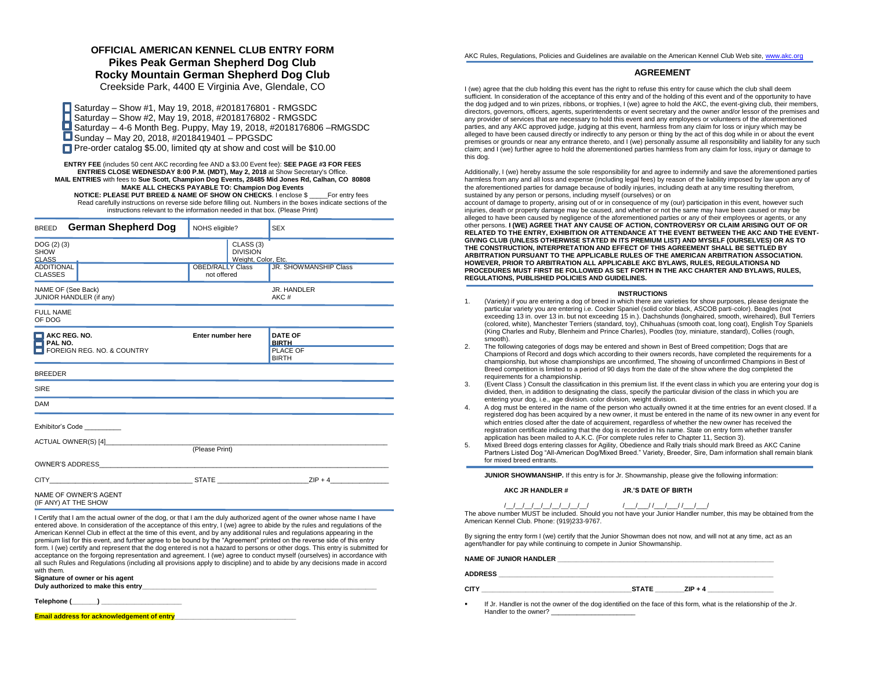# **OFFICIAL AMERICAN KENNEL CLUB ENTRY FORM Pikes Peak German Shepherd Dog Club Rocky Mountain German Shepherd Dog Club**  Creekside Park, 4400 E Virginia Ave, Glendale, CO

Saturday – Show #1, May 19, 2018, #2018176801 - RMGSDC Saturday – Show #2, May 19, 2018, #2018176802 - RMGSDC Saturday – 4-6 Month Beg. Puppy, May 19, 2018, #2018176806 –RMGSDC Sunday – May 20, 2018, #2018419401 – PPGSDC **Pre-order catalog \$5.00, limited gty at show and cost will be \$10.00** 

**ENTRY FEE** (includes 50 cent AKC recording fee AND a \$3.00 Event fee): **SEE PAGE #3 FOR FEES ENTRIES CLOSE WEDNESDAY 8:00 P.M. (MDT), May 2, 2018** at Show Secretary's Office. **MAIL ENTRIES** with fees to **Sue Scott, Champion Dog Events, 28485 Mid Jones Rd, Calhan, CO 80808 MAKE ALL CHECKS PAYABLE TO: Champion Dog Events NOTICE: PLEASE PUT BREED & NAME OF SHOW ON CHECKS**. I enclose \$ \_\_\_\_\_For entry fees Read carefully instructions on reverse side before filling out. Numbers in the boxes indicate sections of the instructions relevant to the information needed in that box. (Please Print)

| German Shepherd Dog<br><b>BREED</b>                                         | NOHS eligible?                                      |  | <b>SEX</b>                                                 |
|-----------------------------------------------------------------------------|-----------------------------------------------------|--|------------------------------------------------------------|
| DOG (2) (3)<br><b>SHOW</b><br><b>CLASS</b>                                  | CLASS (3)<br><b>DIVISION</b><br>Weight, Color, Etc. |  |                                                            |
| <b>ADDITIONAL</b><br><b>CLASSES</b>                                         | <b>OBED/RALLY Class</b><br>not offered              |  | <b>JR. SHOWMANSHIP Class</b>                               |
| NAME OF (See Back)<br>JUNIOR HANDLER (if any)                               |                                                     |  | JR. HANDLER<br>AKC#                                        |
| <b>FULL NAME</b><br>OF DOG                                                  |                                                     |  |                                                            |
| $\Box$ AKC REG. NO.<br>$\blacksquare$ PAL NO.<br>FOREIGN REG. NO. & COUNTRY | Enter number here                                   |  | <b>DATE OF</b><br><b>BIRTH</b><br>PLACE OF<br><b>BIRTH</b> |
| <b>BREEDER</b>                                                              |                                                     |  |                                                            |
| SIRE                                                                        |                                                     |  |                                                            |
| <b>DAM</b>                                                                  |                                                     |  |                                                            |
| Exhibitor's Code                                                            |                                                     |  |                                                            |
|                                                                             | (Please Print)                                      |  |                                                            |
|                                                                             |                                                     |  |                                                            |
| CITY ZIP + 4                                                                |                                                     |  |                                                            |
| NAME OF OWNER'S AGENT<br>(IF ANY) AT THE SHOW                               |                                                     |  |                                                            |

I Certify that I am the actual owner of the dog, or that I am the duly authorized agent of the owner whose name I have entered above. In consideration of the acceptance of this entry, I (we) agree to abide by the rules and regulations of the American Kennel Club in effect at the time of this event, and by any additional rules and regulations appearing in the premium list for this event, and further agree to be bound by the "Agreement" printed on the reverse side of this entry form. I (we) certify and represent that the dog entered is not a hazard to persons or other dogs. This entry is submitted for acceptance on the forgoing representation and agreement. I (we) agree to conduct myself (ourselves) in accordance with all such Rules and Regulations (including all provisions apply to discipline) and to abide by any decisions made in accord with them.

**Signature of owner or his agent** Duly authorized to make this entry

**Telephone (\_\_\_\_\_\_\_) \_\_\_\_\_\_\_\_\_\_\_\_\_\_\_\_\_\_\_\_\_\_**

**Email address for acknowledgement of entry** 

AKC Rules, Regulations, Policies and Guidelines are available on the American Kennel Club Web site[, www.akc.org](http://www.akc.org/)

## **AGREEMENT**

I (we) agree that the club holding this event has the right to refuse this entry for cause which the club shall deem sufficient. In consideration of the acceptance of this entry and of the holding of this event and of the opportunity to have the dog judged and to win prizes, ribbons, or trophies, I (we) agree to hold the AKC, the event-giving club, their members, directors, governors, officers, agents, superintendents or event secretary and the owner and/or lessor of the premises and any provider of services that are necessary to hold this event and any employees or volunteers of the aforementioned parties, and any AKC approved judge, judging at this event, harmless from any claim for loss or injury which may be alleged to have been caused directly or indirectly to any person or thing by the act of this dog while in or about the event premises or grounds or near any entrance thereto, and I (we) personally assume all responsibility and liability for any such claim; and I (we) further agree to hold the aforementioned parties harmless from any claim for loss, injury or damage to this dog.

Additionally, I (we) hereby assume the sole responsibility for and agree to indemnify and save the aforementioned parties harmless from any and all loss and expense (including legal fees) by reason of the liability imposed by law upon any of the aforementioned parties for damage because of bodily injuries, including death at any time resulting therefrom, sustained by any person or persons, including myself (ourselves) or on

account of damage to property, arising out of or in consequence of my (our) participation in this event, however such injuries, death or property damage may be caused, and whether or not the same may have been caused or may be alleged to have been caused by negligence of the aforementioned parties or any of their employees or agents, or any other persons. **I (WE) AGREE THAT ANY CAUSE OF ACTION, CONTROVERSY OR CLAIM ARISING OUT OF OR RELATED TO THE ENTRY, EXHIBITION OR ATTENDANCE AT THE EVENT BETWEEN THE AKC AND THE EVENT-GIVING CLUB (UNLESS OTHERWISE STATED IN ITS PREMIUM LIST) AND MYSELF (OURSELVES) OR AS TO THE CONSTRUCTION, INTERPRETATION AND EFFECT OF THIS AGREEMENT SHALL BE SETTLED BY ARBITRATION PURSUANT TO THE APPLICABLE RULES OF THE AMERICAN ARBITRATION ASSOCIATION. HOWEVER, PRIOR TO ARBITRATION ALL APPLICABLE AKC BYLAWS, RULES, REGULATIONSA ND PROCEDURES MUST FIRST BE FOLLOWED AS SET FORTH IN THE AKC CHARTER AND BYLAWS, RULES, REGULATIONS, PUBLISHED POLICIES AND GUIDELINES.**

#### **INSTRUCTIONS**

- 1. (Variety) if you are entering a dog of breed in which there are varieties for show purposes, please designate the particular variety you are entering i.e. Cocker Spaniel (solid color black, ASCOB parti-color). Beagles (not exceeding 13 in. over 13 in. but not exceeding 15 in.). Dachshunds (longhaired, smooth, wirehaired), Bull Terriers (colored, white), Manchester Terriers (standard, toy), Chihuahuas (smooth coat, long coat), English Toy Spaniels (King Charles and Ruby, Blenheim and Prince Charles), Poodles (toy, miniature, standard), Collies (rough, smooth).
- 2. The following categories of dogs may be entered and shown in Best of Breed competition; Dogs that are Champions of Record and dogs which according to their owners records, have completed the requirements for a championship, but whose championships are unconfirmed, The showing of unconfirmed Champions in Best of Breed competition is limited to a period of 90 days from the date of the show where the dog completed the requirements for a championship.
- 3. (Event Class ) Consult the classification in this premium list. If the event class in which you are entering your dog is divided, then, in addition to designating the class, specify the particular division of the class in which you are entering your dog, i.e., age division. color division, weight division.
- 4. A dog must be entered in the name of the person who actually owned it at the time entries for an event closed. If a registered dog has been acquired by a new owner, it must be entered in the name of its new owner in any event for which entries closed after the date of acquirement, regardless of whether the new owner has received the registration certificate indicating that the dog is recorded in his name. State on entry form whether transfer application has been mailed to A.K.C. (For complete rules refer to Chapter 11, Section 3).
- 5. Mixed Breed dogs entering classes for Agility, Obedience and Rally trials should mark Breed as AKC Canine Partners Listed Dog "All-American Dog/Mixed Breed." Variety, Breeder, Sire, Dam information shall remain blank for mixed breed entrants.

**JUNIOR SHOWMANSHIP.** If this entry is for Jr. Showmanship, please give the following information:

#### **AKC JR HANDLER # JR.'S DATE OF BIRTH**

/\_\_/\_\_/\_\_/\_\_/\_\_/\_\_/\_\_/\_\_/\_\_/ /\_\_\_/\_\_\_/ /\_\_\_/\_\_\_/ /\_\_\_/\_\_\_/

The above number MUST be included. Should you not have your Junior Handler number, this may be obtained from the American Kennel Club. Phone: (919)233-9767.

By signing the entry form I (we) certify that the Junior Showman does not now, and will not at any time, act as an agent/handler for pay while continuing to compete in Junior Showmanship.

NAME OF JUNIOR HANDLER

#### **ADDRESS \_\_\_\_\_\_\_\_\_\_\_\_\_\_\_\_\_\_\_\_\_\_\_\_\_\_\_\_\_\_\_\_\_\_\_\_\_\_\_\_\_\_\_\_\_\_\_\_\_\_\_\_\_\_\_\_\_\_\_\_\_\_\_\_\_\_\_\_\_\_\_\_\_\_\_**

- **CITY** CITY **CITY CITY CITY CITY CITY CITY CITY CITY CITY CITY CITY CITY CITY CITY CITY CITY CITY CITY CITY CITY CITY CITY CITY CITY CITY CITY CITY CITY CITY CITY**
- If Jr. Handler is not the owner of the dog identified on the face of this form, what is the relationship of the Jr. Handler to the owner? \_\_\_\_\_\_\_\_\_\_\_\_\_\_\_\_\_\_\_\_\_\_\_